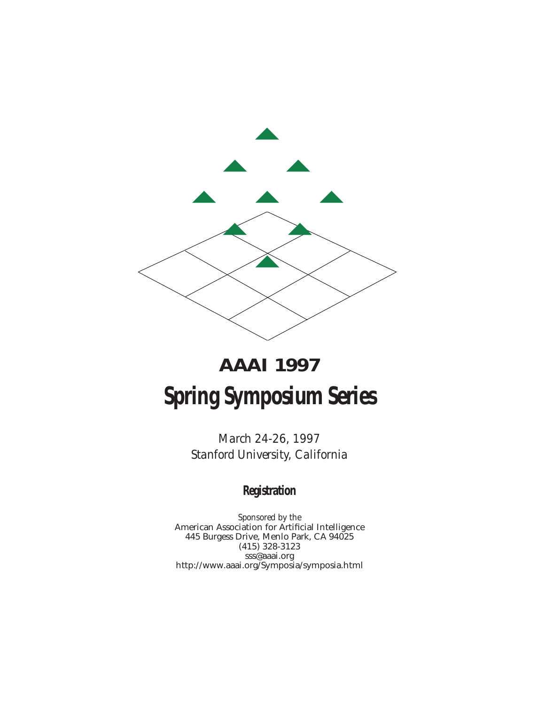

# **AAAI 1997 Spring Symposium Series**

*March 24-26, 1997 Stanford University, California*

### **Registration**

*Sponsored by the* American Association for Artificial Intelligence 445 Burgess Drive, Menlo Park, CA 94025 (415) 328-3123 sss@aaai.org http://www.aaai.org/Symposia/symposia.html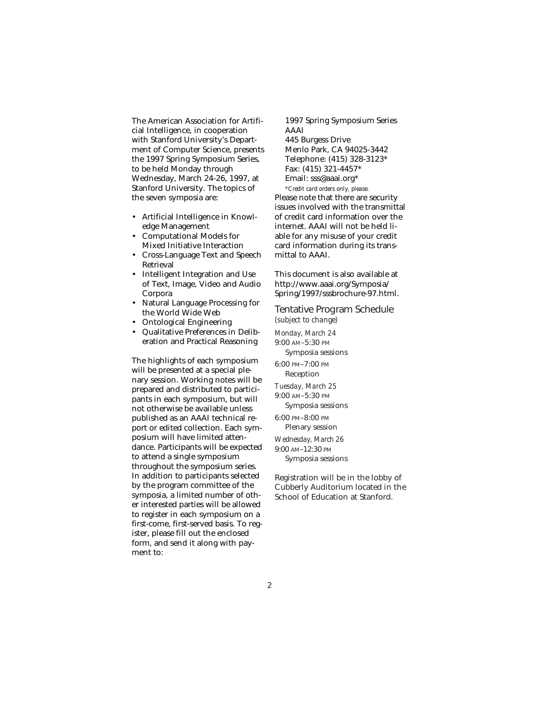The American Association for Artificial Intelligence, in cooperation with Stanford University's Department of Computer Science, presents the 1997 Spring Symposium Series, to be held Monday through Wednesday, March 24-26, 1997, at Stanford University. The topics of the seven symposia are:

- Artificial Intelligence in Knowledge Management
- Computational Models for Mixed Initiative Interaction
- Cross-Language Text and Speech Retrieval
- Intelligent Integration and Use of Text, Image, Video and Audio Corpora
- Natural Language Processing for the World Wide Web
- Ontological Engineering
- Qualitative Preferences in Deliberation and Practical Reasoning

The highlights of each symposium will be presented at a special plenary session. Working notes will be prepared and distributed to participants in each symposium, but will not otherwise be available unless published as an AAAI technical report or edited collection. Each symposium will have limited attendance. Participants will be expected to attend a single symposium throughout the symposium series. In addition to participants selected by the program committee of the symposia, a limited number of other interested parties will be allowed to register in each symposium on a first-come, first-served basis. To register, please fill out the enclosed form, and send it along with payment to:

1997 Spring Symposium Series AAAI 445 Burgess Drive Menlo Park, CA 94025-3442 Telephone: (415) 328-3123\* Fax: (415) 321-4457\* Email: sss@aaai.org\* *\*Credit card orders only, please.*  Please note that there are security issues involved with the transmittal of credit card information over the internet. AAAI will not be held liable for any misuse of your credit card information during its transmittal to AAAI.

This document is also available at http://www.aaai.org/Symposia/ Spring/1997/sssbrochure-97.html.

Tentative Program Schedule *(subject to change)*

*Monday, March 24* 9:00 AM–5:30 PM Symposia sessions

6:00 PM–7:00 PM

Reception *Tuesday, March 25*

9:00 AM–5:30 PM Symposia sessions

6:00 PM–8:00 PM Plenary session *Wednesday, March 26* 9:00 AM–12:30 PM

Symposia sessions

Registration will be in the lobby of Cubberly Auditorium located in the School of Education at Stanford.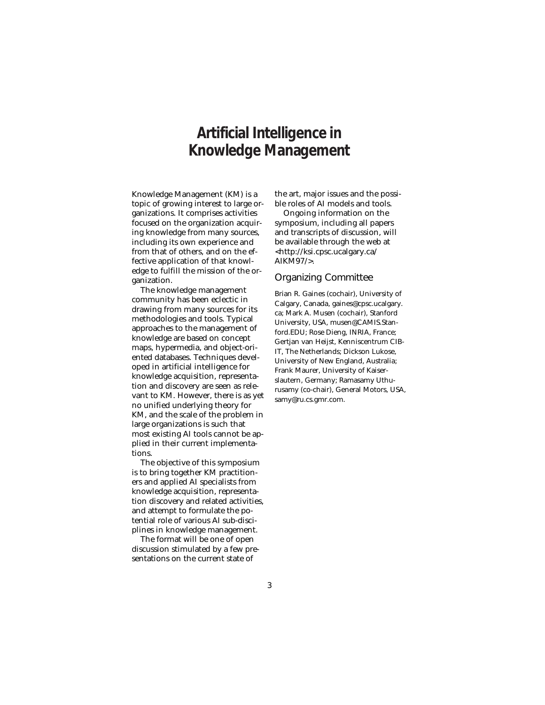### **Artificial Intelligence in Knowledge Management**

Knowledge Management (KM) is a topic of growing interest to large organizations. It comprises activities focused on the organization acquiring knowledge from many sources, including its own experience and from that of others, and on the effective application of that knowledge to fulfill the mission of the organization.

The knowledge management community has been eclectic in drawing from many sources for its methodologies and tools. Typical approaches to the management of knowledge are based on concept maps, hypermedia, and object-oriented databases. Techniques developed in artificial intelligence for knowledge acquisition, representation and discovery are seen as relevant to KM. However, there is as yet no unified underlying theory for KM, and the scale of the problem in large organizations is such that most existing AI tools cannot be applied in their current implementations.

The objective of this symposium is to bring together KM practitioners and applied AI specialists from knowledge acquisition, representation discovery and related activities, and attempt to formulate the potential role of various AI sub-disciplines in knowledge management.

The format will be one of open discussion stimulated by a few presentations on the current state of

the art, major issues and the possible roles of AI models and tools.

Ongoing information on the symposium, including all papers and transcripts of discussion, will be available through the web at <http://ksi.cpsc.ucalgary.ca/ AIKM97/>.

#### Organizing Committee

Brian R. Gaines (cochair), University of Calgary, Canada, gaines@cpsc.ucalgary. ca; Mark A. Musen (cochair), Stanford University, USA, musen@CAMIS.Stanford.EDU; Rose Dieng, INRIA, France; Gertjan van Heijst, Kenniscentrum CIB-IT, The Netherlands; Dickson Lukose, University of New England, Australia; Frank Maurer, University of Kaiserslautern, Germany; Ramasamy Uthurusamy (co-chair), General Motors, USA, samy@ru.cs.gmr.com.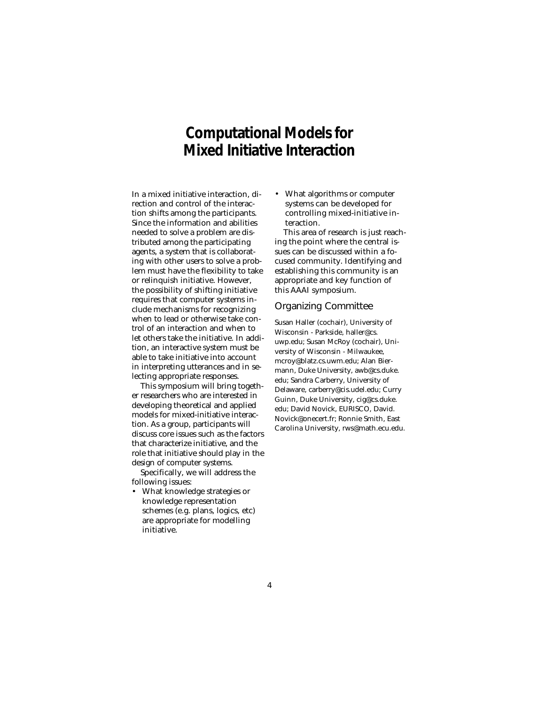### **Computational Models for Mixed Initiative Interaction**

In a mixed initiative interaction, direction and control of the interaction shifts among the participants. Since the information and abilities needed to solve a problem are distributed among the participating agents, a system that is collaborating with other users to solve a problem must have the flexibility to take or relinquish initiative. However, the possibility of shifting initiative requires that computer systems include mechanisms for recognizing when to lead or otherwise take control of an interaction and when to let others take the initiative. In addition, an interactive system must be able to take initiative into account in interpreting utterances and in selecting appropriate responses.

This symposium will bring together researchers who are interested in developing theoretical and applied models for mixed-initiative interaction. As a group, participants will discuss core issues such as the factors that characterize initiative, and the role that initiative should play in the design of computer systems.

Specifically, we will address the following issues:

• What knowledge strategies or knowledge representation schemes (e.g. plans, logics, etc) are appropriate for modelling initiative.

• What algorithms or computer systems can be developed for controlling mixed-initiative interaction.

This area of research is just reaching the point where the central issues can be discussed within a focused community. Identifying and establishing this community is an appropriate and key function of this AAAI symposium.

### Organizing Committee

Susan Haller (cochair), University of Wisconsin - Parkside, haller@cs. uwp.edu; Susan McRoy (cochair), University of Wisconsin - Milwaukee, mcroy@blatz.cs.uwm.edu; Alan Biermann, Duke University, awb@cs.duke. edu; Sandra Carberry, University of Delaware, carberry@cis.udel.edu; Curry Guinn, Duke University, cig@cs.duke. edu; David Novick, EURISCO, David. Novick@onecert.fr; Ronnie Smith, East Carolina University, rws@math.ecu.edu.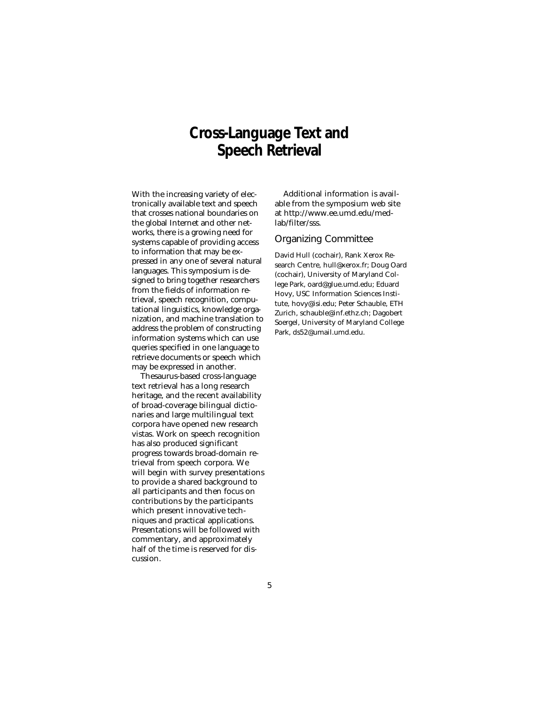### **Cross-Language Text and Speech Retrieval**

With the increasing variety of electronically available text and speech that crosses national boundaries on the global Internet and other networks, there is a growing need for systems capable of providing access to information that may be expressed in any one of several natural languages. This symposium is designed to bring together researchers from the fields of information retrieval, speech recognition, computational linguistics, knowledge organization, and machine translation to address the problem of constructing information systems which can use queries specified in one language to retrieve documents or speech which may be expressed in another.

Thesaurus-based cross-language text retrieval has a long research heritage, and the recent availability of broad-coverage bilingual dictionaries and large multilingual text corpora have opened new research vistas. Work on speech recognition has also produced significant progress towards broad-domain retrieval from speech corpora. We will begin with survey presentations to provide a shared background to all participants and then focus on contributions by the participants which present innovative techniques and practical applications. Presentations will be followed with commentary, and approximately half of the time is reserved for discussion.

Additional information is available from the symposium web site at http://www.ee.umd.edu/medlab/filter/sss.

### Organizing Committee

David Hull (cochair), Rank Xerox Research Centre, hull@xerox.fr; Doug Oard (cochair), University of Maryland College Park, oard@glue.umd.edu; Eduard Hovy, USC Information Sciences Institute, hovy@isi.edu; Peter Schauble, ETH Zurich, schauble@inf.ethz.ch; Dagobert Soergel, University of Maryland College Park, ds52@umail.umd.edu.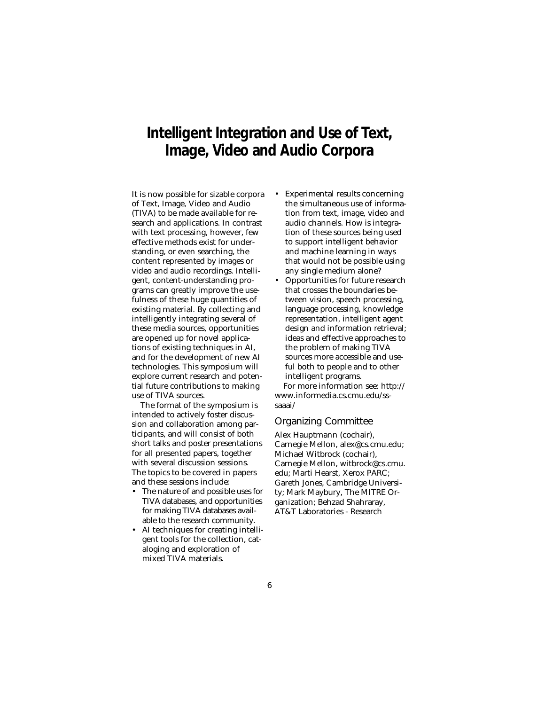### **Intelligent Integration and Use of Text, Image, Video and Audio Corpora**

It is now possible for sizable corpora of Text, Image, Video and Audio (TIVA) to be made available for research and applications. In contrast with text processing, however, few effective methods exist for understanding, or even searching, the content represented by images or video and audio recordings. Intelligent, content-understanding programs can greatly improve the usefulness of these huge quantities of existing material. By collecting and intelligently integrating several of these media sources, opportunities are opened up for novel applications of existing techniques in AI, and for the development of new AI technologies. This symposium will explore current research and potential future contributions to making use of TIVA sources.

The format of the symposium is intended to actively foster discussion and collaboration among participants, and will consist of both short talks and poster presentations for all presented papers, together with several discussion sessions. The topics to be covered in papers and these sessions include:

- The nature of and possible uses for TIVA databases, and opportunities for making TIVA databases available to the research community.
- AI techniques for creating intelligent tools for the collection, cataloging and exploration of mixed TIVA materials.
- Experimental results concerning the simultaneous use of information from text, image, video and audio channels. How is integration of these sources being used to support intelligent behavior and machine learning in ways that would not be possible using any single medium alone?
- Opportunities for future research that crosses the boundaries between vision, speech processing, language processing, knowledge representation, intelligent agent design and information retrieval; ideas and effective approaches to the problem of making TIVA sources more accessible and useful both to people and to other intelligent programs.

For more information see: http:// www.informedia.cs.cmu.edu/sssaaai/

### Organizing Committee

Alex Hauptmann (cochair), Carnegie Mellon, alex@cs.cmu.edu; Michael Witbrock (cochair), Carnegie Mellon, witbrock@cs.cmu. edu; Marti Hearst, Xerox PARC; Gareth Jones, Cambridge University; Mark Maybury, The MITRE Organization; Behzad Shahraray, AT&T Laboratories - Research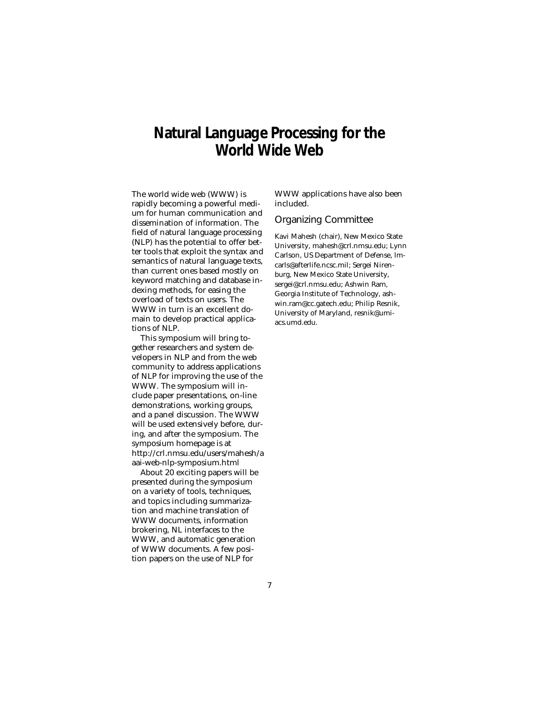### **Natural Language Processing for the World Wide Web**

The world wide web (WWW) is rapidly becoming a powerful medium for human communication and dissemination of information. The field of natural language processing (NLP) has the potential to offer better tools that exploit the syntax and semantics of natural language texts, than current ones based mostly on keyword matching and database indexing methods, for easing the overload of texts on users. The WWW in turn is an excellent domain to develop practical applications of NLP.

This symposium will bring together researchers and system developers in NLP and from the web community to address applications of NLP for improving the use of the WWW. The symposium will include paper presentations, on-line demonstrations, working groups, and a panel discussion. The WWW will be used extensively before, during, and after the symposium. The symposium homepage is at http://crl.nmsu.edu/users/mahesh/a aai-web-nlp-symposium.html

About 20 exciting papers will be presented during the symposium on a variety of tools, techniques, and topics including summarization and machine translation of WWW documents, information brokering, NL interfaces to the WWW, and automatic generation of WWW documents. A few position papers on the use of NLP for

WWW applications have also been included.

### Organizing Committee

Kavi Mahesh (chair), New Mexico State University, mahesh@crl.nmsu.edu; Lynn Carlson, US Department of Defense, lmcarls@afterlife.ncsc.mil; Sergei Nirenburg, New Mexico State University, sergei@crl.nmsu.edu; Ashwin Ram, Georgia Institute of Technology, ashwin.ram@cc.gatech.edu; Philip Resnik, University of Maryland, resnik@umiacs.umd.edu.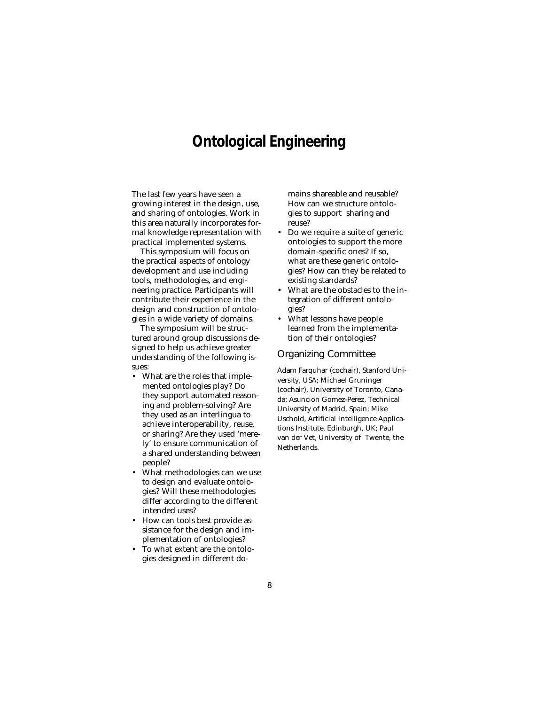### **Ontological Engineering**

The last few years have seen a growing interest in the design, use, and sharing of ontologies. Work in this area naturally incorporates formal knowledge representation with practical implemented systems.

This symposium will focus on the practical aspects of ontology development and use including tools, methodologies, and engineering practice. Participants will contribute their experience in the design and construction of ontologies in a wide variety of domains.

The symposium will be structured around group discussions designed to help us achieve greater understanding of the following issues:

- What are the roles that implemented ontologies play? Do they support automated reasoning and problem-solving? Are they used as an interlingua to achieve interoperability, reuse, or sharing? Are they used 'merely' to ensure communication of a shared understanding between people?
- What methodologies can we use to design and evaluate ontologies? Will these methodologies differ according to the different intended uses?
- How can tools best provide assistance for the design and implementation of ontologies?
- To what extent are the ontologies designed in different do-

mains shareable and reusable? How can we structure ontologies to support sharing and reuse?

- Do we require a suite of generic ontologies to support the more domain-specific ones? If so, what are these generic ontologies? How can they be related to existing standards?
- What are the obstacles to the integration of different ontologies?
- What lessons have people learned from the implementation of their ontologies?

### Organizing Committee

Adam Farquhar (cochair), Stanford University, USA; Michael Gruninger (cochair), University of Toronto, Canada; Asuncion Gomez-Perez, Technical University of Madrid, Spain; Mike Uschold, Artificial Intelligence Applications Institute, Edinburgh, UK; Paul van der Vet, University of Twente, the Netherlands.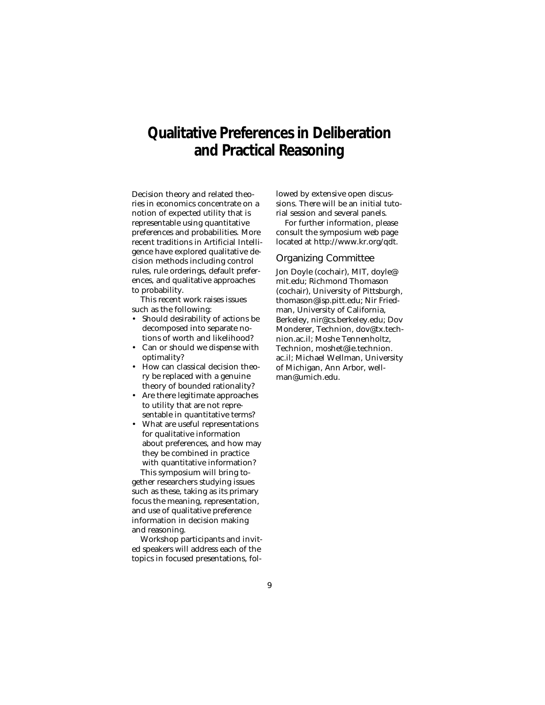### **Qualitative Preferences in Deliberation and Practical Reasoning**

Decision theory and related theories in economics concentrate on a notion of expected utility that is representable using quantitative preferences and probabilities. More recent traditions in Artificial Intelligence have explored qualitative decision methods including control rules, rule orderings, default preferences, and qualitative approaches to probability.

This recent work raises issues such as the following:

- Should desirability of actions be decomposed into separate notions of worth and likelihood?
- Can or should we dispense with optimality?
- How can classical decision theory be replaced with a genuine theory of bounded rationality?
- Are there legitimate approaches to utility that are not representable in quantitative terms?
- What are useful representations for qualitative information about preferences, and how may they be combined in practice with quantitative information? This symposium will bring to-

gether researchers studying issues such as these, taking as its primary focus the meaning, representation, and use of qualitative preference information in decision making and reasoning.

Workshop participants and invited speakers will address each of the topics in focused presentations, followed by extensive open discussions. There will be an initial tutorial session and several panels.

For further information, please consult the symposium web page located at http://www.kr.org/qdt.

### Organizing Committee

Jon Doyle (cochair), MIT, doyle@ mit.edu; Richmond Thomason (cochair), University of Pittsburgh, thomason@isp.pitt.edu; Nir Friedman, University of California, Berkeley, nir@cs.berkeley.edu; Dov Monderer, Technion, dov@tx.technion.ac.il; Moshe Tennenholtz, Technion, moshet@ie.technion. ac.il; Michael Wellman, University of Michigan, Ann Arbor, wellman@umich.edu.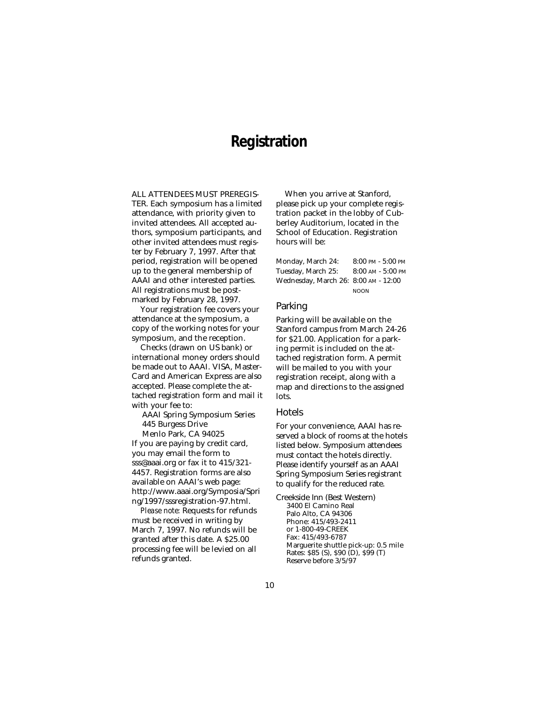### **Registration**

ALL ATTENDEES MUST PREREGIS-TER. Each symposium has a limited attendance, with priority given to invited attendees. All accepted authors, symposium participants, and other invited attendees must register by February 7, 1997. After that period, registration will be opened up to the general membership of AAAI and other interested parties. All registrations must be postmarked by February 28, 1997.

Your registration fee covers your attendance at the symposium, a copy of the working notes for your symposium, and the reception.

Checks (drawn on US bank) or international money orders should be made out to AAAI. VISA, Master-Card and American Express are also accepted. Please complete the attached registration form and mail it with your fee to:

AAAI Spring Symposium Series 445 Burgess Drive

Menlo Park, CA 94025 If you are paying by credit card, you may email the form to sss@aaai.org or fax it to 415/321- 4457. Registration forms are also available on AAAI's web page: http://www.aaai.org/Symposia/Spri ng/1997/sssregistration-97.html.

*Please note:* Requests for refunds must be received in writing by March 7, 1997. No refunds will be granted after this date. A \$25.00 processing fee will be levied on all refunds granted.

When you arrive at Stanford, please pick up your complete registration packet in the lobby of Cubberley Auditorium, located in the School of Education. Registration hours will be:

| Monday, March 24:                    | $8:00$ PM - $5:00$ PM |
|--------------------------------------|-----------------------|
| Tuesday, March 25:                   | $8:00$ AM - $5:00$ PM |
| Wednesday, March 26: 8:00 AM - 12:00 |                       |
|                                      | <b>NOON</b>           |

#### Parking

Parking will be available on the Stanford campus from March 24-26 for \$21.00. Application for a parking permit is included on the attached registration form. A permit will be mailed to you with your registration receipt, along with a map and directions to the assigned lots.

#### Hotels

For your convenience, AAAI has reserved a block of rooms at the hotels listed below. Symposium attendees must contact the hotels directly. Please identify yourself as an AAAI Spring Symposium Series registrant to qualify for the reduced rate.

Creekside Inn (Best Western) 3400 El Camino Real Palo Alto, CA 94306 Phone: 415/493-2411 or 1-800-49-CREEK Fax: 415/493-6787 Marguerite shuttle pick-up: 0.5 mile Rates: \$85 (S), \$90 (D), \$99 (T) Reserve before 3/5/97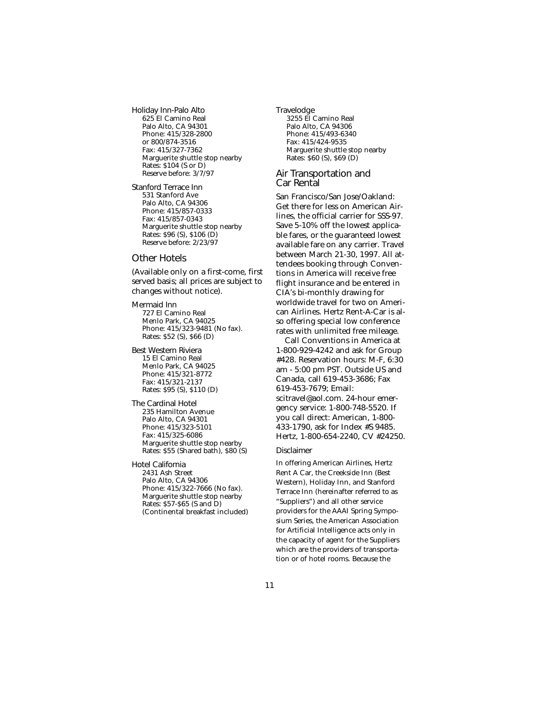Holiday Inn-Palo Alto 625 El Camino Real Palo Alto, CA 94301 Phone: 415/328-2800 or 800/874-3516 Fax: 415/327-7362 Marguerite shuttle stop nearby Rates: \$104 (S or D) Reserve before: 3/7/97

Stanford Terrace Inn 531 Stanford Ave Palo Alto, CA 94306 Phone: 415/857-0333 Fax: 415/857-0343 Marguerite shuttle stop nearby Rates: \$96 (S), \$106 (D) Reserve before: 2/23/97

### Other Hotels

(Available only on a first-come, first served basis; all prices are subject to changes without notice).

Mermaid Inn 727 El Camino Real Menlo Park, CA 94025 Phone: 415/323-9481 (No fax). Rates: \$52 (S), \$66 (D)

Best Western Riviera 15 El Camino Real Menlo Park, CA 94025 Phone: 415/321-8772 Fax: 415/321-2137 Rates: \$95 (S), \$110 (D)

The Cardinal Hotel 235 Hamilton Avenue Palo Alto, CA 94301 Phone: 415/323-5101 Fax: 415/325-6086 Marguerite shuttle stop nearby Rates: \$55 (Shared bath), \$80 (S)

Hotel California 2431 Ash Street Palo Alto, CA 94306 Phone: 415/322-7666 (No fax). Marguerite shuttle stop nearby Rates: \$57-\$65 (S and D) (Continental breakfast included) Travelodge 3255 El Camino Real Palo Alto, CA 94306 Phone: 415/493-6340 Fax: 415/424-9535 Marguerite shuttle stop nearby Rates: \$60 (S), \$69 (D)

### Air Transportation and Car Rental

San Francisco/San Jose/Oakland: Get there for less on American Airlines, the official carrier for SSS-97. Save 5-10% off the lowest applicable fares, or the guaranteed lowest available fare on any carrier. Travel between March 21-30, 1997. All attendees booking through Conventions in America will receive free flight insurance and be entered in CIA's bi-monthly drawing for worldwide travel for two on American Airlines. Hertz Rent-A-Car is also offering special low conference rates with unlimited free mileage.

Call Conventions in America at 1-800-929-4242 and ask for Group #428. Reservation hours: M-F, 6:30 am - 5:00 pm PST. Outside US and Canada, call 619-453-3686; Fax 619-453-7679; Email: scitravel@aol.com. 24-hour emergency service: 1-800-748-5520. If you call direct: American, 1-800- 433-1790, ask for Index #S 9485. Hertz, 1-800-654-2240, CV #24250.

#### Disclaimer

In offering American Airlines, Hertz Rent A Car, the Creekside Inn (Best Western), Holiday Inn, and Stanford Terrace Inn (hereinafter referred to as "Suppliers") and all other service providers for the AAAI Spring Symposium Series, the American Association for Artificial Intelligence acts only in the capacity of agent for the Suppliers which are the providers of transportation or of hotel rooms. Because the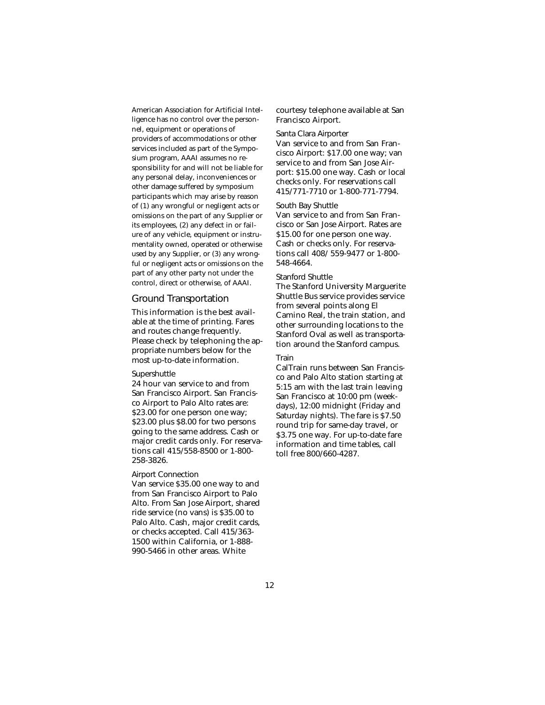American Association for Artificial Intelligence has no control over the personnel, equipment or operations of providers of accommodations or other services included as part of the Symposium program, AAAI assumes no responsibility for and will not be liable for any personal delay, inconveniences or other damage suffered by symposium participants which may arise by reason of (1) any wrongful or negligent acts or omissions on the part of any Supplier or its employees, (2) any defect in or failure of any vehicle, equipment or instrumentality owned, operated or otherwise used by any Supplier, or (3) any wrongful or negligent acts or omissions on the part of any other party not under the control, direct or otherwise, of AAAI.

### Ground Transportation

This information is the best available at the time of printing. Fares and routes change frequently. Please check by telephoning the appropriate numbers below for the most up-to-date information.

#### Supershuttle

24 hour van service to and from San Francisco Airport. San Francisco Airport to Palo Alto rates are: \$23.00 for one person one way; \$23.00 plus \$8.00 for two persons going to the same address. Cash or major credit cards only. For reservations call 415/558-8500 or 1-800- 258-3826.

#### Airport Connection

Van service \$35.00 one way to and from San Francisco Airport to Palo Alto. From San Jose Airport, shared ride service (no vans) is \$35.00 to Palo Alto. Cash, major credit cards, or checks accepted. Call 415/363- 1500 within California, or 1-888- 990-5466 in other areas. White

courtesy telephone available at San Francisco Airport.

#### Santa Clara Airporter

Van service to and from San Francisco Airport: \$17.00 one way; van service to and from San Jose Airport: \$15.00 one way. Cash or local checks only. For reservations call 415/771-7710 or 1-800-771-7794.

### South Bay Shuttle

Van service to and from San Francisco or San Jose Airport. Rates are \$15.00 for one person one way. Cash or checks only. For reservations call 408/ 559-9477 or 1-800- 548-4664.

#### Stanford Shuttle

The Stanford University Marguerite Shuttle Bus service provides service from several points along El Camino Real, the train station, and other surrounding locations to the Stanford Oval as well as transportation around the Stanford campus.

#### Train

CalTrain runs between San Francisco and Palo Alto station starting at 5:15 am with the last train leaving San Francisco at 10:00 pm (weekdays), 12:00 midnight (Friday and Saturday nights). The fare is \$7.50 round trip for same-day travel, or \$3.75 one way. For up-to-date fare information and time tables, call toll free 800/660-4287.